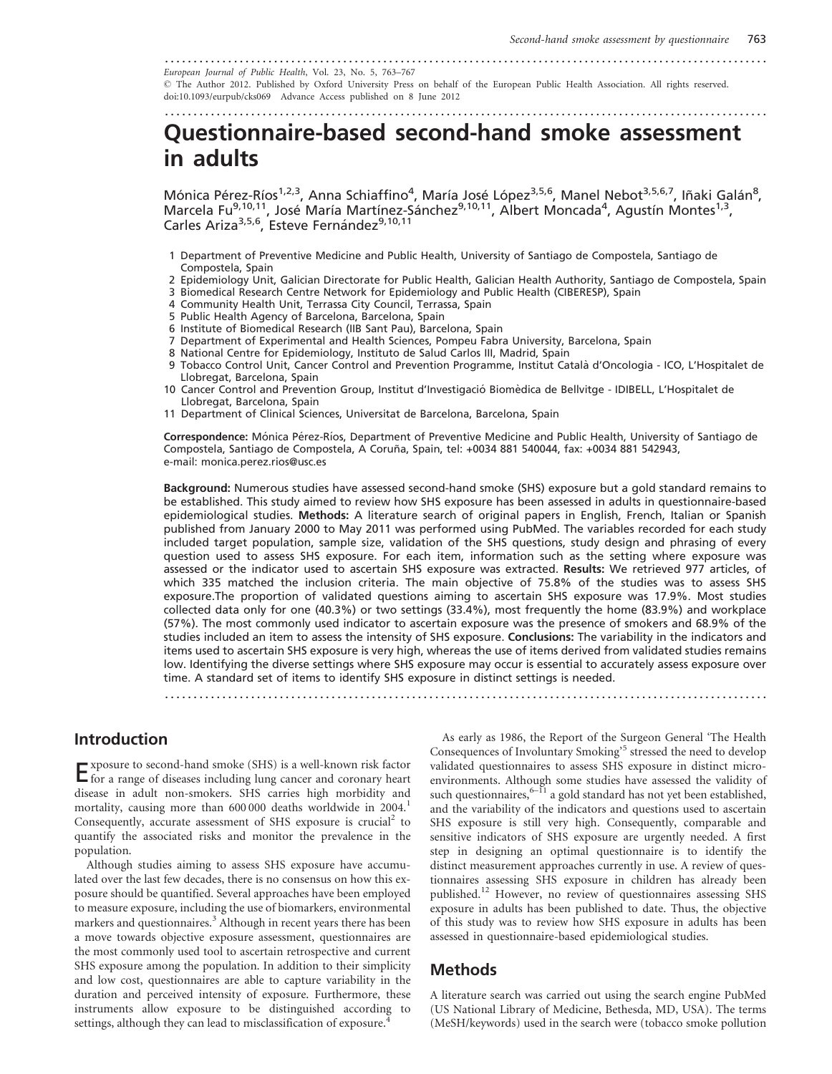......................................................................................................... European Journal of Public Health, Vol. 23, No. 5, 763–767 - The Author 2012. Published by Oxford University Press on behalf of the European Public Health Association. All rights reserved. doi:10.1093/eurpub/cks069 Advance Access published on 8 June 2012

.........................................................................................................

# Questionnaire-based second-hand smoke assessment in adults

Mónica Pérez-Ríos<sup>1,2,3</sup>, Anna Schiaffino<sup>4</sup>, María José López<sup>3,5,6</sup>, Manel Nebot<sup>3,5,6,7</sup>, Iñaki Galán<sup>8</sup>, Marcela Fu<sup>9,10,11</sup>, José María Martínez-Sánchez<sup>9,10,11</sup>, Albert Moncada<sup>4</sup>, Agustín Montes<sup>1,3</sup>, Carles Ariza<sup>3,5,6</sup>, Esteve Fernández<sup>9,10,11</sup>

- 1 Department of Preventive Medicine and Public Health, University of Santiago de Compostela, Santiago de Compostela, Spain
- 2 Epidemiology Unit, Galician Directorate for Public Health, Galician Health Authority, Santiago de Compostela, Spain
- 3 Biomedical Research Centre Network for Epidemiology and Public Health (CIBERESP), Spain
- 4 Community Health Unit, Terrassa City Council, Terrassa, Spain
- 5 Public Health Agency of Barcelona, Barcelona, Spain
- 6 Institute of Biomedical Research (IIB Sant Pau), Barcelona, Spain
- 7 Department of Experimental and Health Sciences, Pompeu Fabra University, Barcelona, Spain
- 8 National Centre for Epidemiology, Instituto de Salud Carlos III, Madrid, Spain 9 Tobacco Control Unit, Cancer Control and Prevention Programme, Institut Catala` d'Oncologia - ICO, L'Hospitalet de Llobregat, Barcelona, Spain
- 10 Cancer Control and Prevention Group, Institut d'Investigació Biomèdica de Bellvitge IDIBELL, L'Hospitalet de Llobregat, Barcelona, Spain
- 11 Department of Clinical Sciences, Universitat de Barcelona, Barcelona, Spain

Correspondence: Mónica Pérez-Ríos, Department of Preventive Medicine and Public Health, University of Santiago de Compostela, Santiago de Compostela, A Coruña, Spain, tel: +0034 881 540044, fax: +0034 881 542943, e-mail: monica.perez.rios@usc.es

Background: Numerous studies have assessed second-hand smoke (SHS) exposure but a gold standard remains to be established. This study aimed to review how SHS exposure has been assessed in adults in questionnaire-based epidemiological studies. Methods: A literature search of original papers in English, French, Italian or Spanish published from January 2000 to May 2011 was performed using PubMed. The variables recorded for each study included target population, sample size, validation of the SHS questions, study design and phrasing of every question used to assess SHS exposure. For each item, information such as the setting where exposure was assessed or the indicator used to ascertain SHS exposure was extracted. Results: We retrieved 977 articles, of which 335 matched the inclusion criteria. The main objective of 75.8% of the studies was to assess SHS exposure.The proportion of validated questions aiming to ascertain SHS exposure was 17.9%. Most studies collected data only for one (40.3%) or two settings (33.4%), most frequently the home (83.9%) and workplace (57%). The most commonly used indicator to ascertain exposure was the presence of smokers and 68.9% of the studies included an item to assess the intensity of SHS exposure. Conclusions: The variability in the indicators and items used to ascertain SHS exposure is very high, whereas the use of items derived from validated studies remains low. Identifying the diverse settings where SHS exposure may occur is essential to accurately assess exposure over time. A standard set of items to identify SHS exposure in distinct settings is needed.

.........................................................................................................

#### Introduction

Exposure to second-hand smoke (SHS) is a well-known risk factor for a range of diseases including lung cancer and coronary heart disease in adult non-smokers. SHS carries high morbidity and mortality, causing more than 600 000 deaths worldwide in 2004.<sup>[1](#page-4-0)</sup> Consequently, accurate assessment of SHS exposure is crucial<sup>[2](#page-4-0)</sup> to quantify the associated risks and monitor the prevalence in the population.

Although studies aiming to assess SHS exposure have accumulated over the last few decades, there is no consensus on how this exposure should be quantified. Several approaches have been employed to measure exposure, including the use of biomarkers, environmental markers and questionnaires.<sup>[3](#page-4-0)</sup> Although in recent years there has been a move towards objective exposure assessment, questionnaires are the most commonly used tool to ascertain retrospective and current SHS exposure among the population. In addition to their simplicity and low cost, questionnaires are able to capture variability in the duration and perceived intensity of exposure. Furthermore, these instruments allow exposure to be distinguished according to settings, although they can lead to misclassification of exposure.<sup>[4](#page-4-0)</sup>

As early as 1986, the Report of the Surgeon General 'The Health Consequences of Involuntary Smoking'[5](#page-4-0) stressed the need to develop validated questionnaires to assess SHS exposure in distinct microenvironments. Although some studies have assessed the validity of such questionnaires,  $6-11$  a gold standard has not yet been established, and the variability of the indicators and questions used to ascertain SHS exposure is still very high. Consequently, comparable and sensitive indicators of SHS exposure are urgently needed. A first step in designing an optimal questionnaire is to identify the distinct measurement approaches currently in use. A review of questionnaires assessing SHS exposure in children has already been published.[12](#page-4-0) However, no review of questionnaires assessing SHS exposure in adults has been published to date. Thus, the objective of this study was to review how SHS exposure in adults has been assessed in questionnaire-based epidemiological studies.

#### Methods

A literature search was carried out using the search engine PubMed (US National Library of Medicine, Bethesda, MD, USA). The terms (MeSH/keywords) used in the search were (tobacco smoke pollution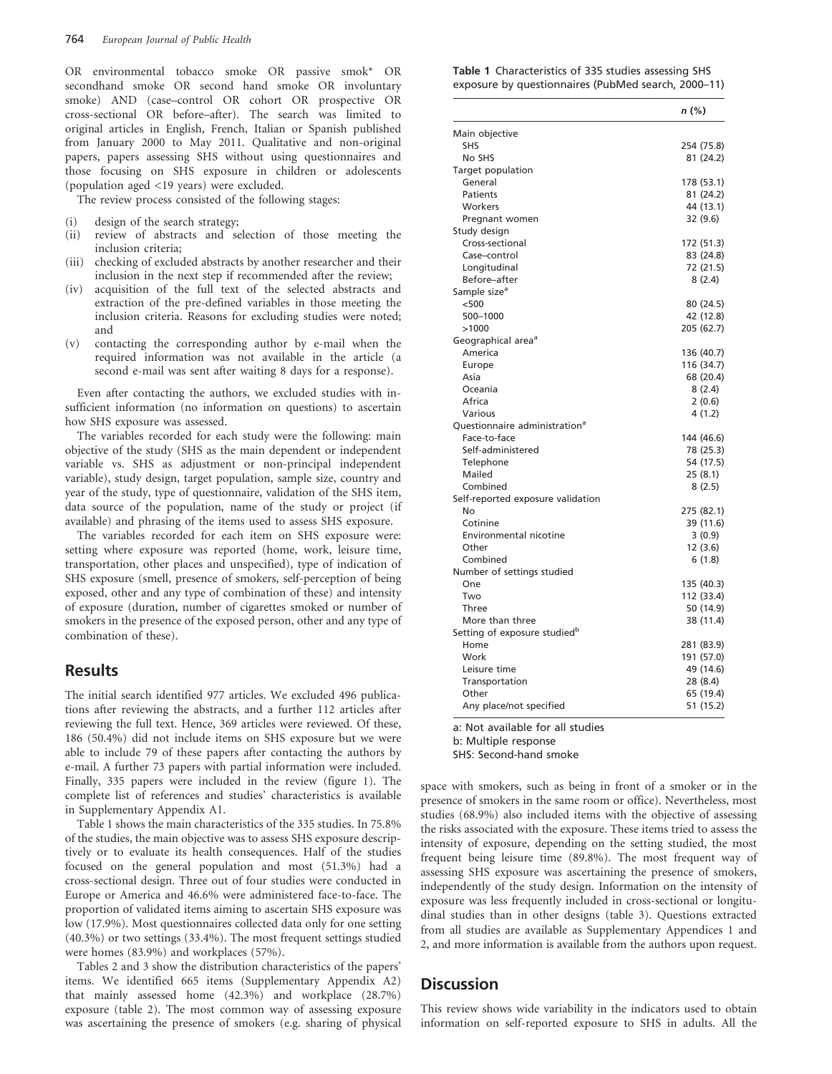OR environmental tobacco smoke OR passive smok\* OR secondhand smoke OR second hand smoke OR involuntary smoke) AND (case–control OR cohort OR prospective OR cross-sectional OR before–after). The search was limited to original articles in English, French, Italian or Spanish published from January 2000 to May 2011. Qualitative and non-original papers, papers assessing SHS without using questionnaires and those focusing on SHS exposure in children or adolescents (population aged <19 years) were excluded.

The review process consisted of the following stages:

- (i) design of the search strategy;
- (ii) review of abstracts and selection of those meeting the inclusion criteria;
- (iii) checking of excluded abstracts by another researcher and their inclusion in the next step if recommended after the review;
- (iv) acquisition of the full text of the selected abstracts and extraction of the pre-defined variables in those meeting the inclusion criteria. Reasons for excluding studies were noted; and
- (v) contacting the corresponding author by e-mail when the required information was not available in the article (a second e-mail was sent after waiting 8 days for a response).

Even after contacting the authors, we excluded studies with insufficient information (no information on questions) to ascertain how SHS exposure was assessed.

The variables recorded for each study were the following: main objective of the study (SHS as the main dependent or independent variable vs. SHS as adjustment or non-principal independent variable), study design, target population, sample size, country and year of the study, type of questionnaire, validation of the SHS item, data source of the population, name of the study or project (if available) and phrasing of the items used to assess SHS exposure.

The variables recorded for each item on SHS exposure were: setting where exposure was reported (home, work, leisure time, transportation, other places and unspecified), type of indication of SHS exposure (smell, presence of smokers, self-perception of being exposed, other and any type of combination of these) and intensity of exposure (duration, number of cigarettes smoked or number of smokers in the presence of the exposed person, other and any type of combination of these).

#### Results

The initial search identified 977 articles. We excluded 496 publications after reviewing the abstracts, and a further 112 articles after reviewing the full text. Hence, 369 articles were reviewed. Of these, 186 (50.4%) did not include items on SHS exposure but we were able to include 79 of these papers after contacting the authors by e-mail. A further 73 papers with partial information were included. Finally, 335 papers were included in the review [\(figure 1](#page-2-0)). The complete list of references and studies' characteristics is available in Supplementary Appendix A1.

Table 1 shows the main characteristics of the 335 studies. In 75.8% of the studies, the main objective was to assess SHS exposure descriptively or to evaluate its health consequences. Half of the studies focused on the general population and most (51.3%) had a cross-sectional design. Three out of four studies were conducted in Europe or America and 46.6% were administered face-to-face. The proportion of validated items aiming to ascertain SHS exposure was low (17.9%). Most questionnaires collected data only for one setting (40.3%) or two settings (33.4%). The most frequent settings studied were homes (83.9%) and workplaces (57%).

[Tables 2](#page-2-0) and [3](#page-2-0) show the distribution characteristics of the papers' items. We identified 665 items (Supplementary Appendix A2) that mainly assessed home (42.3%) and workplace (28.7%) exposure [\(table 2\)](#page-2-0). The most common way of assessing exposure was ascertaining the presence of smokers (e.g. sharing of physical Table 1 Characteristics of 335 studies assessing SHS exposure by questionnaires (PubMed search, 2000–11)

|                                           | n (%)      |
|-------------------------------------------|------------|
| Main objective                            |            |
| <b>SHS</b>                                | 254 (75.8) |
| No SHS                                    | 81 (24.2)  |
| Target population                         |            |
| General                                   | 178 (53.1) |
| Patients                                  | 81 (24.2)  |
| Workers                                   | 44 (13.1)  |
| Pregnant women                            | 32 (9.6)   |
| Study design                              |            |
| Cross-sectional                           | 172 (51.3) |
| Case-control                              | 83 (24.8)  |
| Longitudinal                              | 72 (21.5)  |
| Before-after                              | 8(2.4)     |
| Sample size <sup>a</sup>                  |            |
| < 500                                     | 80 (24.5)  |
| 500-1000                                  | 42 (12.8)  |
| >1000                                     | 205 (62.7) |
| Geographical area <sup>a</sup>            |            |
| America                                   | 136 (40.7) |
| Europe                                    | 116 (34.7) |
| Asia                                      | 68 (20.4)  |
| Oceania                                   | 8(2.4)     |
| Africa                                    | 2(0.6)     |
| Various                                   | 4 (1.2)    |
| Ouestionnaire administration <sup>a</sup> |            |
| Face-to-face                              | 144 (46.6) |
| Self-administered                         | 78 (25.3)  |
| Telephone                                 | 54 (17.5)  |
| Mailed                                    | 25 (8.1)   |
| Combined                                  | 8(2.5)     |
| Self-reported exposure validation         |            |
| No                                        | 275 (82.1) |
| Cotinine                                  | 39 (11.6)  |
| Environmental nicotine                    | 3(0.9)     |
| Other                                     | 12 (3.6)   |
| Combined                                  | 6(1.8)     |
| Number of settings studied                |            |
| One                                       | 135 (40.3) |
| Two                                       | 112 (33.4) |
| Three                                     | 50 (14.9)  |
| More than three                           | 38 (11.4)  |
| Setting of exposure studied <sup>b</sup>  |            |
| Home                                      | 281 (83.9) |
| Work                                      | 191 (57.0) |
| Leisure time                              | 49 (14.6)  |
| Transportation                            | 28 (8.4)   |
| Other                                     | 65 (19.4)  |
| Any place/not specified                   | 51 (15.2)  |

a: Not available for all studies

b: Multiple response

SHS: Second-hand smoke

space with smokers, such as being in front of a smoker or in the presence of smokers in the same room or office). Nevertheless, most studies (68.9%) also included items with the objective of assessing the risks associated with the exposure. These items tried to assess the intensity of exposure, depending on the setting studied, the most frequent being leisure time (89.8%). The most frequent way of assessing SHS exposure was ascertaining the presence of smokers, independently of the study design. Information on the intensity of exposure was less frequently included in cross-sectional or longitudinal studies than in other designs [\(table 3\)](#page-2-0). Questions extracted from all studies are available as Supplementary Appendices 1 and 2, and more information is available from the authors upon request.

#### **Discussion**

This review shows wide variability in the indicators used to obtain information on self-reported exposure to SHS in adults. All the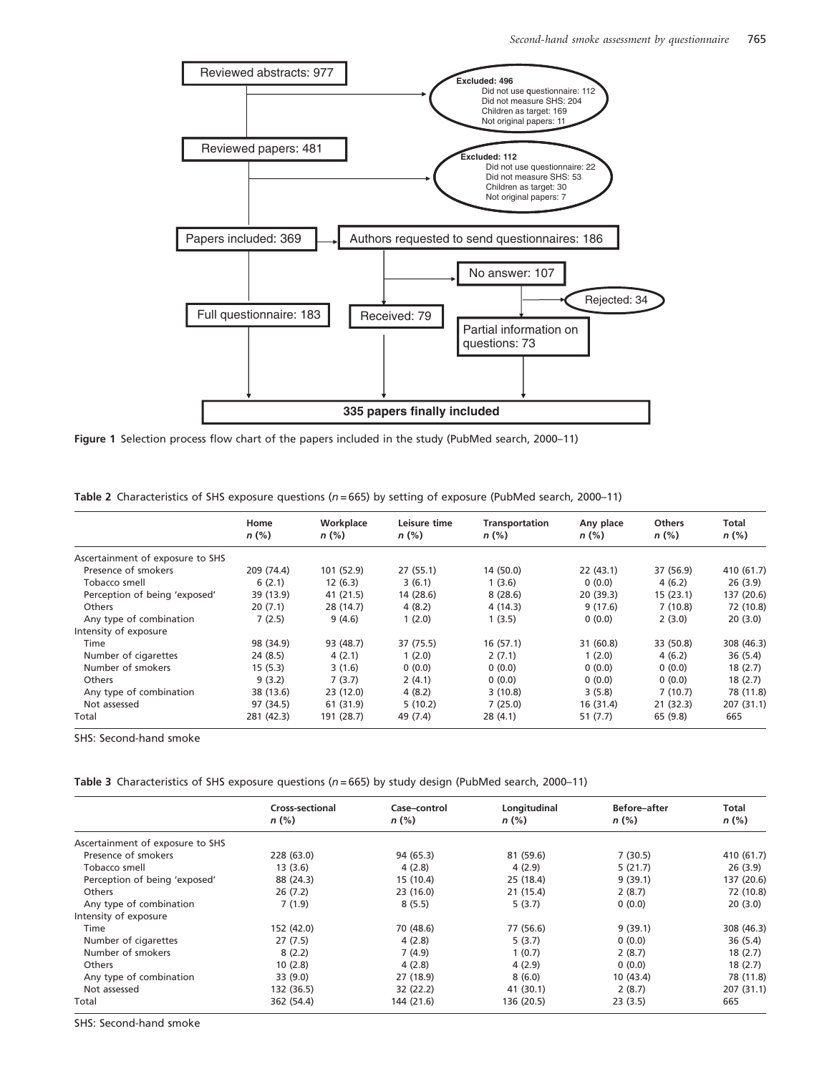<span id="page-2-0"></span>

Figure 1 Selection process flow chart of the papers included in the study (PubMed search, 2000–11)

Table 2 Characteristics of SHS exposure questions ( $n = 665$ ) by setting of exposure (PubMed search, 2000-11)

|                                  | Home<br>$n$ (%) | Workplace<br>$n$ (%) | Leisure time<br>$n$ (%) | Transportation<br>$n$ (%) | Any place<br>$n$ (%) | <b>Others</b><br>$n$ (%) | Total<br>$n$ (%) |
|----------------------------------|-----------------|----------------------|-------------------------|---------------------------|----------------------|--------------------------|------------------|
|                                  |                 |                      |                         |                           |                      |                          |                  |
| Ascertainment of exposure to SHS |                 |                      |                         |                           |                      |                          |                  |
| Presence of smokers              | 209 (74.4)      | 101 (52.9)           | 27(55.1)                | 14 (50.0)                 | 22(43.1)             | 37 (56.9)                | 410 (61.7)       |
| Tobacco smell                    | 6(2.1)          | 12(6.3)              | 3(6.1)                  | 1(3.6)                    | 0(0.0)               | 4(6.2)                   | 26(3.9)          |
| Perception of being 'exposed'    | 39 (13.9)       | 41 (21.5)            | 14 (28.6)               | 8(28.6)                   | 20(39.3)             | 15(23.1)                 | 137 (20.6)       |
| Others                           | 20(7.1)         | 28 (14.7)            | 4(8.2)                  | 4(14.3)                   | 9(17.6)              | 7(10.8)                  | 72 (10.8)        |
| Any type of combination          | 7(2.5)          | 9(4.6)               | 1(2.0)                  | 1(3.5)                    | 0(0.0)               | 2(3.0)                   | 20(3.0)          |
| Intensity of exposure            |                 |                      |                         |                           |                      |                          |                  |
| Time                             | 98 (34.9)       | 93 (48.7)            | 37 (75.5)               | 16(57.1)                  | 31 (60.8)            | 33 (50.8)                | 308 (46.3)       |
| Number of cigarettes             | 24(8.5)         | 4(2.1)               | 1(2.0)                  | 2(7.1)                    | 1(2.0)               | 4(6.2)                   | 36 (5.4)         |
| Number of smokers                | 15(5.3)         | 3(1.6)               | 0(0.0)                  | 0(0.0)                    | 0(0.0)               | 0(0.0)                   | 18(2.7)          |
| Others                           | 9(3.2)          | 7(3.7)               | 2(4.1)                  | 0(0.0)                    | 0(0.0)               | 0(0.0)                   | 18(2.7)          |
| Any type of combination          | 38 (13.6)       | 23(12.0)             | 4(8.2)                  | 3(10.8)                   | 3(5.8)               | 7(10.7)                  | 78 (11.8)        |
| Not assessed                     | 97 (34.5)       | 61 (31.9)            | 5(10.2)                 | 7(25.0)                   | 16 (31.4)            | 21(32.3)                 | 207 (31.1)       |
| Total                            | 281 (42.3)      | 191 (28.7)           | 49 (7.4)                | 28(4.1)                   | 51 (7.7)             | 65 (9.8)                 | 665              |

SHS: Second-hand smoke

Table 3 Characteristics of SHS exposure questions ( $n = 665$ ) by study design (PubMed search, 2000-11)

|                                  | <b>Cross-sectional</b> | Case-control | Longitudinal | <b>Before-after</b> | Total<br>$n$ (%) |
|----------------------------------|------------------------|--------------|--------------|---------------------|------------------|
|                                  | $n$ (%)                | $n$ (%)      | $n$ (%)      | $n$ (%)             |                  |
| Ascertainment of exposure to SHS |                        |              |              |                     |                  |
| Presence of smokers              | 228 (63.0)             | 94 (65.3)    | 81 (59.6)    | 7(30.5)             | 410 (61.7)       |
| Tobacco smell                    | 13(3.6)                | 4(2.8)       | 4(2.9)       | 5(21.7)             | 26(3.9)          |
| Perception of being 'exposed'    | 88 (24.3)              | 15 (10.4)    | 25 (18.4)    | 9(39.1)             | 137 (20.6)       |
| Others                           | 26(7.2)                | 23(16.0)     | 21(15.4)     | 2(8.7)              | 72 (10.8)        |
| Any type of combination          | 7(1.9)                 | 8(5.5)       | 5(3.7)       | 0(0.0)              | 20(3.0)          |
| Intensity of exposure            |                        |              |              |                     |                  |
| Time                             | 152 (42.0)             | 70 (48.6)    | 77 (56.6)    | 9(39.1)             | 308 (46.3)       |
| Number of cigarettes             | 27(7.5)                | 4(2.8)       | 5(3.7)       | 0(0.0)              | 36(5.4)          |
| Number of smokers                | 8(2.2)                 | 7(4.9)       | 1(0.7)       | 2(8.7)              | 18(2.7)          |
| Others                           | 10(2.8)                | 4(2.8)       | 4(2.9)       | 0(0.0)              | 18(2.7)          |
| Any type of combination          | 33(9.0)                | 27 (18.9)    | 8(6.0)       | 10(43.4)            | 78 (11.8)        |
| Not assessed                     | 132 (36.5)             | 32 (22.2)    | 41 (30.1)    | 2(8.7)              | 207 (31.1)       |
| Total                            | 362 (54.4)             | 144 (21.6)   | 136 (20.5)   | 23(3.5)             | 665              |

SHS: Second-hand smoke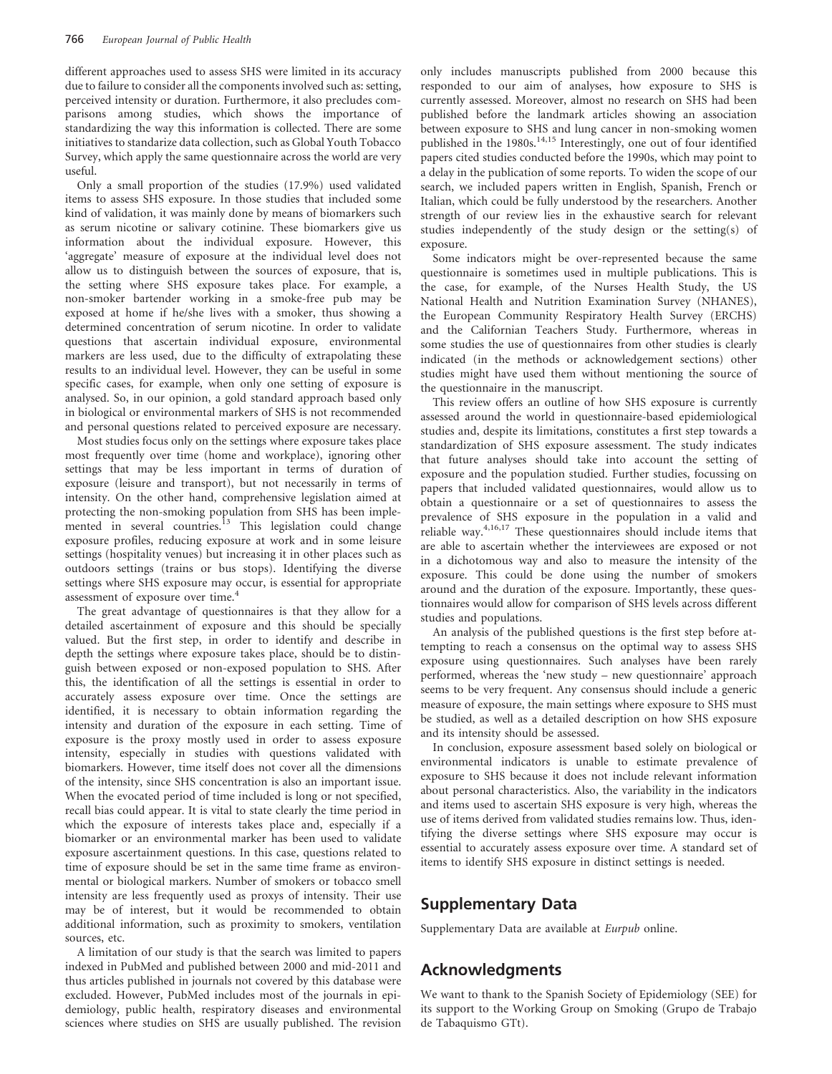different approaches used to assess SHS were limited in its accuracy due to failure to consider all the components involved such as: setting, perceived intensity or duration. Furthermore, it also precludes comparisons among studies, which shows the importance of standardizing the way this information is collected. There are some initiatives to standarize data collection, such as Global Youth Tobacco Survey, which apply the same questionnaire across the world are very useful.

Only a small proportion of the studies (17.9%) used validated items to assess SHS exposure. In those studies that included some kind of validation, it was mainly done by means of biomarkers such as serum nicotine or salivary cotinine. These biomarkers give us information about the individual exposure. However, this 'aggregate' measure of exposure at the individual level does not allow us to distinguish between the sources of exposure, that is, the setting where SHS exposure takes place. For example, a non-smoker bartender working in a smoke-free pub may be exposed at home if he/she lives with a smoker, thus showing a determined concentration of serum nicotine. In order to validate questions that ascertain individual exposure, environmental markers are less used, due to the difficulty of extrapolating these results to an individual level. However, they can be useful in some specific cases, for example, when only one setting of exposure is analysed. So, in our opinion, a gold standard approach based only in biological or environmental markers of SHS is not recommended and personal questions related to perceived exposure are necessary.

Most studies focus only on the settings where exposure takes place most frequently over time (home and workplace), ignoring other settings that may be less important in terms of duration of exposure (leisure and transport), but not necessarily in terms of intensity. On the other hand, comprehensive legislation aimed at protecting the non-smoking population from SHS has been imple-mented in several countries.<sup>[13](#page-4-0)</sup> This legislation could change exposure profiles, reducing exposure at work and in some leisure settings (hospitality venues) but increasing it in other places such as outdoors settings (trains or bus stops). Identifying the diverse settings where SHS exposure may occur, is essential for appropriate assessment of exposure over time.<sup>[4](#page-4-0)</sup>

The great advantage of questionnaires is that they allow for a detailed ascertainment of exposure and this should be specially valued. But the first step, in order to identify and describe in depth the settings where exposure takes place, should be to distinguish between exposed or non-exposed population to SHS. After this, the identification of all the settings is essential in order to accurately assess exposure over time. Once the settings are identified, it is necessary to obtain information regarding the intensity and duration of the exposure in each setting. Time of exposure is the proxy mostly used in order to assess exposure intensity, especially in studies with questions validated with biomarkers. However, time itself does not cover all the dimensions of the intensity, since SHS concentration is also an important issue. When the evocated period of time included is long or not specified, recall bias could appear. It is vital to state clearly the time period in which the exposure of interests takes place and, especially if a biomarker or an environmental marker has been used to validate exposure ascertainment questions. In this case, questions related to time of exposure should be set in the same time frame as environmental or biological markers. Number of smokers or tobacco smell intensity are less frequently used as proxys of intensity. Their use may be of interest, but it would be recommended to obtain additional information, such as proximity to smokers, ventilation sources, etc.

A limitation of our study is that the search was limited to papers indexed in PubMed and published between 2000 and mid-2011 and thus articles published in journals not covered by this database were excluded. However, PubMed includes most of the journals in epidemiology, public health, respiratory diseases and environmental sciences where studies on SHS are usually published. The revision

only includes manuscripts published from 2000 because this responded to our aim of analyses, how exposure to SHS is currently assessed. Moreover, almost no research on SHS had been published before the landmark articles showing an association between exposure to SHS and lung cancer in non-smoking women published in the 1980s. $14,15$  Interestingly, one out of four identified papers cited studies conducted before the 1990s, which may point to a delay in the publication of some reports. To widen the scope of our search, we included papers written in English, Spanish, French or Italian, which could be fully understood by the researchers. Another strength of our review lies in the exhaustive search for relevant studies independently of the study design or the setting(s) of exposure.

Some indicators might be over-represented because the same questionnaire is sometimes used in multiple publications. This is the case, for example, of the Nurses Health Study, the US National Health and Nutrition Examination Survey (NHANES), the European Community Respiratory Health Survey (ERCHS) and the Californian Teachers Study. Furthermore, whereas in some studies the use of questionnaires from other studies is clearly indicated (in the methods or acknowledgement sections) other studies might have used them without mentioning the source of the questionnaire in the manuscript.

This review offers an outline of how SHS exposure is currently assessed around the world in questionnaire-based epidemiological studies and, despite its limitations, constitutes a first step towards a standardization of SHS exposure assessment. The study indicates that future analyses should take into account the setting of exposure and the population studied. Further studies, focussing on papers that included validated questionnaires, would allow us to obtain a questionnaire or a set of questionnaires to assess the prevalence of SHS exposure in the population in a valid and reliable way.[4](#page-4-0),[16](#page-4-0),[17](#page-4-0) These questionnaires should include items that are able to ascertain whether the interviewees are exposed or not in a dichotomous way and also to measure the intensity of the exposure. This could be done using the number of smokers around and the duration of the exposure. Importantly, these questionnaires would allow for comparison of SHS levels across different studies and populations.

An analysis of the published questions is the first step before attempting to reach a consensus on the optimal way to assess SHS exposure using questionnaires. Such analyses have been rarely performed, whereas the 'new study – new questionnaire' approach seems to be very frequent. Any consensus should include a generic measure of exposure, the main settings where exposure to SHS must be studied, as well as a detailed description on how SHS exposure and its intensity should be assessed.

In conclusion, exposure assessment based solely on biological or environmental indicators is unable to estimate prevalence of exposure to SHS because it does not include relevant information about personal characteristics. Also, the variability in the indicators and items used to ascertain SHS exposure is very high, whereas the use of items derived from validated studies remains low. Thus, identifying the diverse settings where SHS exposure may occur is essential to accurately assess exposure over time. A standard set of items to identify SHS exposure in distinct settings is needed.

## Supplementary Data

Supplementary Data are available at Eurpub online.

## Acknowledgments

We want to thank to the Spanish Society of Epidemiology (SEE) for its support to the Working Group on Smoking (Grupo de Trabajo de Tabaquismo GTt).